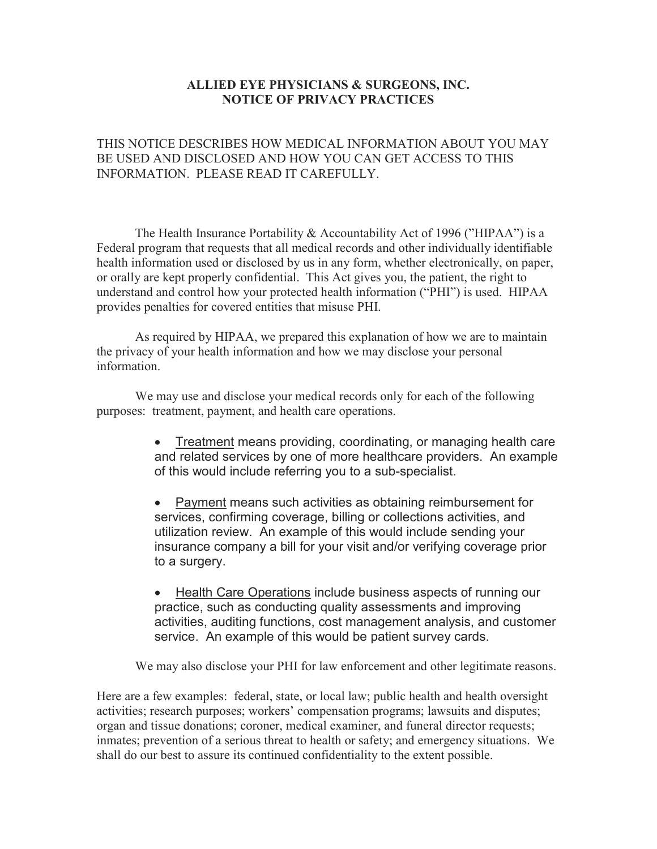## **ALLIED EYE PHYSICIANS & SURGEONS, INC. NOTICE OF PRIVACY PRACTICES**

## THIS NOTICE DESCRIBES HOW MEDICAL INFORMATION ABOUT YOU MAY BE USED AND DISCLOSED AND HOW YOU CAN GET ACCESS TO THIS INFORMATION. PLEASE READ IT CAREFULLY.

The Health Insurance Portability & Accountability Act of 1996 ("HIPAA") is a Federal program that requests that all medical records and other individually identifiable health information used or disclosed by us in any form, whether electronically, on paper, or orally are kept properly confidential. This Act gives you, the patient, the right to understand and control how your protected health information ("PHI") is used. HIPAA provides penalties for covered entities that misuse PHI.

 As required by HIPAA, we prepared this explanation of how we are to maintain the privacy of your health information and how we may disclose your personal information.

We may use and disclose your medical records only for each of the following purposes: treatment, payment, and health care operations.

- Treatment means providing, coordinating, or managing health care and related services by one of more healthcare providers. An example of this would include referring you to a sub-specialist.
- Payment means such activities as obtaining reimbursement for services, confirming coverage, billing or collections activities, and utilization review. An example of this would include sending your insurance company a bill for your visit and/or verifying coverage prior to a surgery.
- Health Care Operations include business aspects of running our practice, such as conducting quality assessments and improving activities, auditing functions, cost management analysis, and customer service. An example of this would be patient survey cards.

We may also disclose your PHI for law enforcement and other legitimate reasons.

Here are a few examples: federal, state, or local law; public health and health oversight activities; research purposes; workers' compensation programs; lawsuits and disputes; organ and tissue donations; coroner, medical examiner, and funeral director requests; inmates; prevention of a serious threat to health or safety; and emergency situations. We shall do our best to assure its continued confidentiality to the extent possible.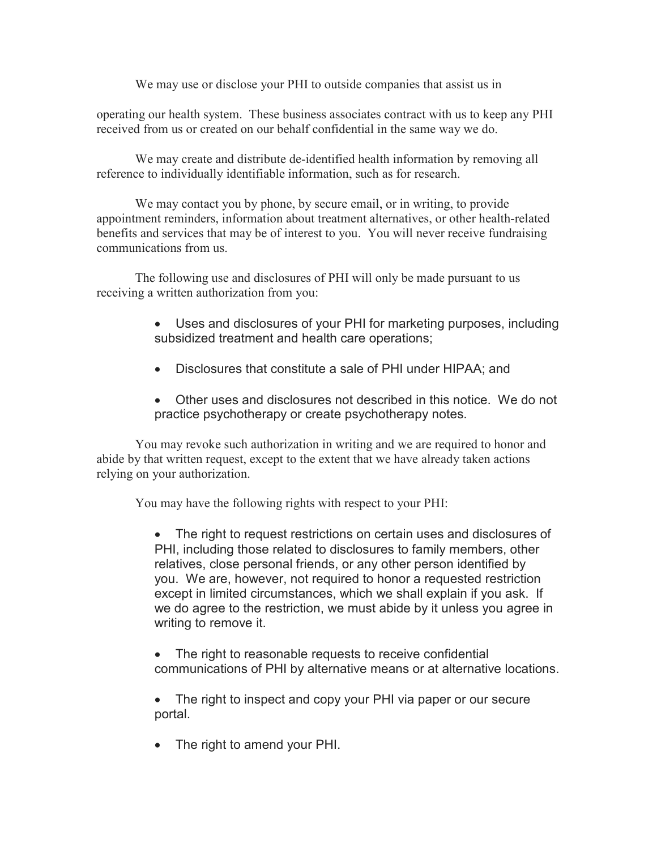We may use or disclose your PHI to outside companies that assist us in

operating our health system. These business associates contract with us to keep any PHI received from us or created on our behalf confidential in the same way we do.

We may create and distribute de-identified health information by removing all reference to individually identifiable information, such as for research.

 We may contact you by phone, by secure email, or in writing, to provide appointment reminders, information about treatment alternatives, or other health-related benefits and services that may be of interest to you. You will never receive fundraising communications from us.

The following use and disclosures of PHI will only be made pursuant to us receiving a written authorization from you:

- Uses and disclosures of your PHI for marketing purposes, including subsidized treatment and health care operations;
- Disclosures that constitute a sale of PHI under HIPAA; and
- Other uses and disclosures not described in this notice. We do not practice psychotherapy or create psychotherapy notes.

You may revoke such authorization in writing and we are required to honor and abide by that written request, except to the extent that we have already taken actions relying on your authorization.

You may have the following rights with respect to your PHI:

• The right to request restrictions on certain uses and disclosures of PHI, including those related to disclosures to family members, other relatives, close personal friends, or any other person identified by you. We are, however, not required to honor a requested restriction except in limited circumstances, which we shall explain if you ask. If we do agree to the restriction, we must abide by it unless you agree in writing to remove it.

- The right to reasonable requests to receive confidential communications of PHI by alternative means or at alternative locations.
- The right to inspect and copy your PHI via paper or our secure portal.
- The right to amend your PHI.